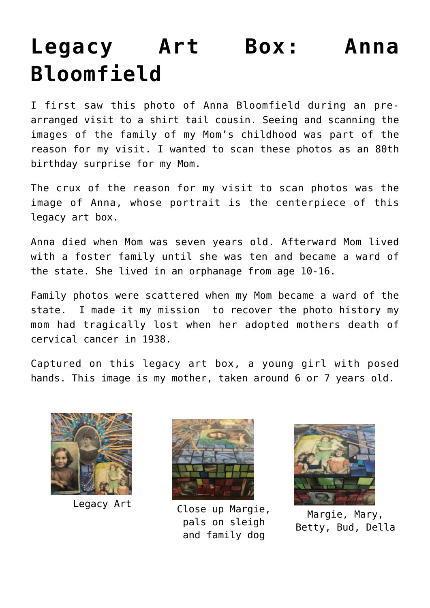## **[Legacy Art Box: Anna](https://mybeautifullifestory.com/legacy-art-anna-bloomfield/) [Bloomfield](https://mybeautifullifestory.com/legacy-art-anna-bloomfield/)**

I first saw this photo of Anna Bloomfield during an prearranged visit to a shirt tail cousin. Seeing and scanning the images of the family of my Mom's childhood was part of the reason for my visit. I wanted to scan these photos as an 80th birthday surprise for my Mom.

The crux of the reason for my visit to scan photos was the image of Anna, whose portrait is the centerpiece of this legacy art box.

Anna died when Mom was seven years old. Afterward Mom lived with a foster family until she was ten and became a ward of the state. She lived in an orphanage from age 10-16.

Family photos were scattered when my Mom became a ward of the state. I made it my mission to recover the photo history my mom had tragically lost when her adopted mothers death of cervical cancer in 1938.

Captured on this legacy art box, a young girl with posed hands. This image is my mother, taken around 6 or 7 years old.





Legacy Art Close up Margie, pals on sleigh and family dog



Margie, Mary, Betty, Bud, Della